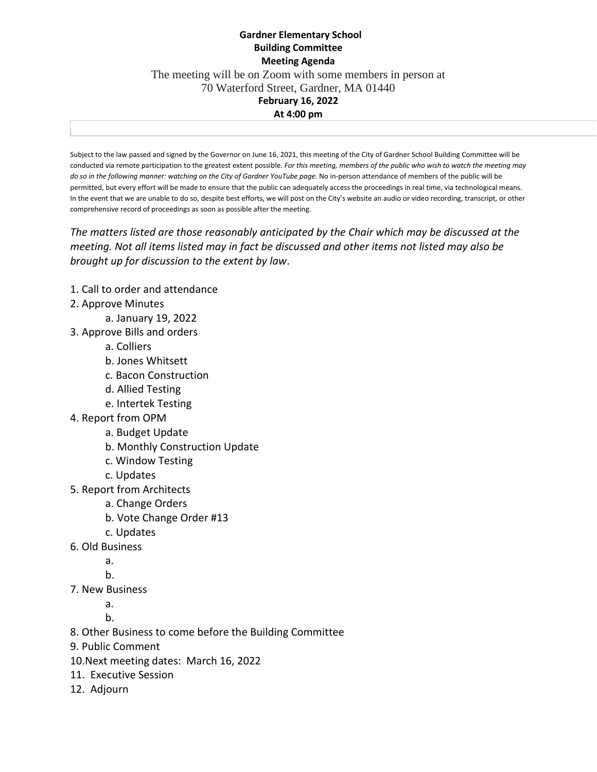## **Gardner Elementary School Building Committee Meeting Agenda** The meeting will be on Zoom with some members in person at 70 Waterford Street, Gardner, MA 01440 **February 16, 2022 At 4:00 pm**

Subject to the law passed and signed by the Governor on June 16, 2021, this meeting of the City of Gardner School Building Committee will be conducted via remote participation to the greatest extent possible. *For this meeting, members of the public who wish to watch the meeting may do so in the following manner: watching on the City of Gardner YouTube page*. No in-person attendance of members of the public will be permitted, but every effort will be made to ensure that the public can adequately access the proceedings in real time, via technological means. In the event that we are unable to do so, despite best efforts, we will post on the City's website an audio or video recording, transcript, or other comprehensive record of proceedings as soon as possible after the meeting.

*The matters listed are those reasonably anticipated by the Chair which may be discussed at the meeting. Not all items listed may in fact be discussed and other items not listed may also be brought up for discussion to the extent by law*.

- 1. Call to order and attendance
- 2. Approve Minutes
	- a. January 19, 2022
- 3. Approve Bills and orders
	- a. Colliers
	- b. Jones Whitsett
	- c. Bacon Construction
	- d. Allied Testing
	- e. Intertek Testing
- 4. Report from OPM
	- a. Budget Update
	- b. Monthly Construction Update
	- c. Window Testing
	- c. Updates
- 5. Report from Architects
	- a. Change Orders
	- b. Vote Change Order #13
	- c. Updates
- 6. Old Business
	- a.
	- b.
- 7. New Business
	- a.

b.

8. Other Business to come before the Building Committee

9. Public Comment

10.Next meeting dates: March 16, 2022

- 11. Executive Session
- 12. Adjourn